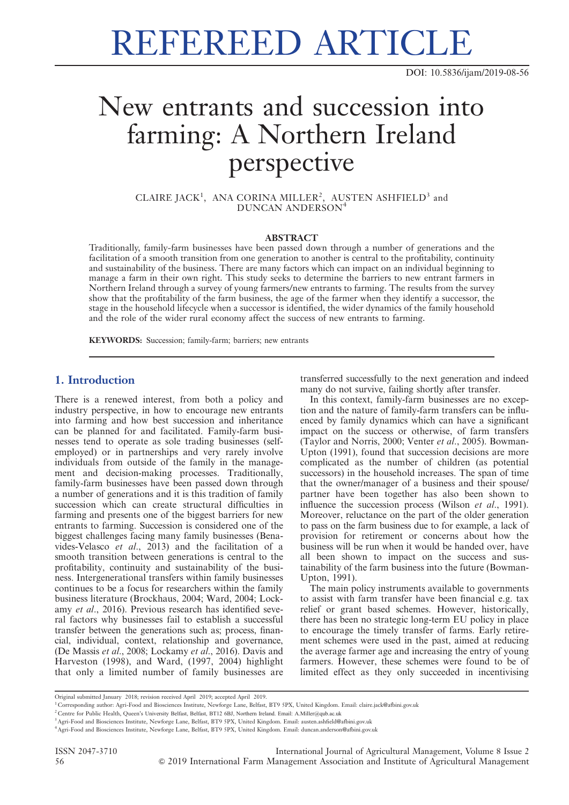REFEREED ARTICLE

DOI: 10.5836/ijam/2019-08-56

# New entrants and succession into farming: A Northern Ireland perspective

CLAIRE JACK<sup>1</sup>, ANA CORINA MILLER<sup>2</sup>, AUSTEN ASHFIELD<sup>3</sup> and DUNCAN ANDERSON<sup>4</sup>

#### ABSTRACT

Traditionally, family-farm businesses have been passed down through a number of generations and the facilitation of a smooth transition from one generation to another is central to the profitability, continuity and sustainability of the business. There are many factors which can impact on an individual beginning to manage a farm in their own right. This study seeks to determine the barriers to new entrant farmers in Northern Ireland through a survey of young farmers/new entrants to farming. The results from the survey show that the profitability of the farm business, the age of the farmer when they identify a successor, the stage in the household lifecycle when a successor is identified, the wider dynamics of the family household and the role of the wider rural economy affect the success of new entrants to farming.

KEYWORDS: Succession; family-farm; barriers; new entrants

### 1. Introduction

There is a renewed interest, from both a policy and industry perspective, in how to encourage new entrants into farming and how best succession and inheritance can be planned for and facilitated. Family-farm businesses tend to operate as sole trading businesses (selfemployed) or in partnerships and very rarely involve individuals from outside of the family in the management and decision-making processes. Traditionally, family-farm businesses have been passed down through a number of generations and it is this tradition of family succession which can create structural difficulties in farming and presents one of the biggest barriers for new entrants to farming. Succession is considered one of the biggest challenges facing many family businesses (Benavides-Velasco et al., 2013) and the facilitation of a smooth transition between generations is central to the profitability, continuity and sustainability of the business. Intergenerational transfers within family businesses continues to be a focus for researchers within the family business literature (Brockhaus, 2004; Ward, 2004; Lockamy et al., 2016). Previous research has identified several factors why businesses fail to establish a successful transfer between the generations such as; process, financial, individual, context, relationship and governance, (De Massis et al., 2008; Lockamy et al., 2016). Davis and Harveston (1998), and Ward, (1997, 2004) highlight that only a limited number of family businesses are transferred successfully to the next generation and indeed many do not survive, failing shortly after transfer.

In this context, family-farm businesses are no exception and the nature of family-farm transfers can be influenced by family dynamics which can have a significant impact on the success or otherwise, of farm transfers (Taylor and Norris, 2000; Venter et al., 2005). Bowman-Upton (1991), found that succession decisions are more complicated as the number of children (as potential successors) in the household increases. The span of time that the owner/manager of a business and their spouse/ partner have been together has also been shown to influence the succession process (Wilson et al., 1991). Moreover, reluctance on the part of the older generation to pass on the farm business due to for example, a lack of provision for retirement or concerns about how the business will be run when it would be handed over, have all been shown to impact on the success and sustainability of the farm business into the future (Bowman-Upton, 1991).

The main policy instruments available to governments to assist with farm transfer have been financial e.g. tax relief or grant based schemes. However, historically, there has been no strategic long-term EU policy in place to encourage the timely transfer of farms. Early retirement schemes were used in the past, aimed at reducing the average farmer age and increasing the entry of young farmers. However, these schemes were found to be of limited effect as they only succeeded in incentivising

Original submitted January 2018; revision received April 2019; accepted April 2019.

<sup>1</sup> Corresponding author: Agri-Food and Biosciences Institute, Newforge Lane, Belfast, BT9 5PX, United Kingdom. Email: claire.jack@afbini.gov.uk

<sup>&</sup>lt;sup>2</sup> Centre for Public Health, Queen's University Belfast, Belfast, BT12 6BJ, Northern Ireland. Email: A.Miller@qub.ac.ul

<sup>3</sup>Agri-Food and Biosciences Institute, Newforge Lane, Belfast, BT9 5PX, United Kingdom. Email: austen.ashfield@afbini.gov.uk

<sup>4</sup>Agri-Food and Biosciences Institute, Newforge Lane, Belfast, BT9 5PX, United Kingdom. Email: duncan.anderson@afbini.gov.uk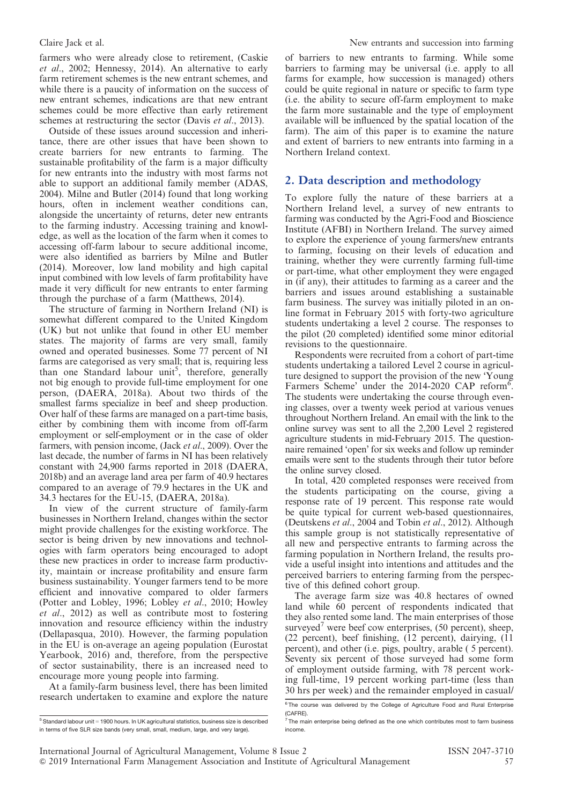farmers who were already close to retirement, (Caskie et al., 2002; Hennessy, 2014). An alternative to early farm retirement schemes is the new entrant schemes, and while there is a paucity of information on the success of new entrant schemes, indications are that new entrant schemes could be more effective than early retirement schemes at restructuring the sector (Davis et al., 2013).

Outside of these issues around succession and inheritance, there are other issues that have been shown to create barriers for new entrants to farming. The sustainable profitability of the farm is a major difficulty for new entrants into the industry with most farms not able to support an additional family member (ADAS, 2004). Milne and Butler (2014) found that long working hours, often in inclement weather conditions can, alongside the uncertainty of returns, deter new entrants to the farming industry. Accessing training and knowledge, as well as the location of the farm when it comes to accessing off-farm labour to secure additional income, were also identified as barriers by Milne and Butler (2014). Moreover, low land mobility and high capital input combined with low levels of farm profitability have made it very difficult for new entrants to enter farming through the purchase of a farm (Matthews, 2014).

The structure of farming in Northern Ireland (NI) is somewhat different compared to the United Kingdom (UK) but not unlike that found in other EU member states. The majority of farms are very small, family owned and operated businesses. Some 77 percent of NI farms are categorised as very small; that is, requiring less than one Standard labour unit<sup>5</sup>, therefore, generally not big enough to provide full-time employment for one person, (DAERA, 2018a). About two thirds of the smallest farms specialize in beef and sheep production. Over half of these farms are managed on a part-time basis, either by combining them with income from off-farm employment or self-employment or in the case of older farmers, with pension income, (Jack et al., 2009). Over the last decade, the number of farms in NI has been relatively constant with 24,900 farms reported in 2018 (DAERA, 2018b) and an average land area per farm of 40.9 hectares compared to an average of 79.9 hectares in the UK and 34.3 hectares for the EU-15, (DAERA, 2018a).

In view of the current structure of family-farm businesses in Northern Ireland, changes within the sector might provide challenges for the existing workforce. The sector is being driven by new innovations and technologies with farm operators being encouraged to adopt these new practices in order to increase farm productivity, maintain or increase profitability and ensure farm business sustainability. Younger farmers tend to be more efficient and innovative compared to older farmers (Potter and Lobley, 1996; Lobley et al., 2010; Howley et al., 2012) as well as contribute most to fostering innovation and resource efficiency within the industry (Dellapasqua, 2010). However, the farming population in the EU is on-average an ageing population (Eurostat Yearbook, 2016) and, therefore, from the perspective of sector sustainability, there is an increased need to encourage more young people into farming.

At a family-farm business level, there has been limited research undertaken to examine and explore the nature of barriers to new entrants to farming. While some barriers to farming may be universal (i.e. apply to all farms for example, how succession is managed) others could be quite regional in nature or specific to farm type (i.e. the ability to secure off-farm employment to make the farm more sustainable and the type of employment available will be influenced by the spatial location of the farm). The aim of this paper is to examine the nature and extent of barriers to new entrants into farming in a Northern Ireland context.

# 2. Data description and methodology

To explore fully the nature of these barriers at a Northern Ireland level, a survey of new entrants to farming was conducted by the Agri-Food and Bioscience Institute (AFBI) in Northern Ireland. The survey aimed to explore the experience of young farmers/new entrants to farming, focusing on their levels of education and training, whether they were currently farming full-time or part-time, what other employment they were engaged in (if any), their attitudes to farming as a career and the barriers and issues around establishing a sustainable farm business. The survey was initially piloted in an online format in February 2015 with forty-two agriculture students undertaking a level 2 course. The responses to the pilot (20 completed) identified some minor editorial revisions to the questionnaire.

Respondents were recruited from a cohort of part-time students undertaking a tailored Level 2 course in agriculture designed to support the provision of the new 'Young Farmers Scheme' under the 2014-2020 CAP reform<sup>6</sup>. The students were undertaking the course through evening classes, over a twenty week period at various venues throughout Northern Ireland. An email with the link to the online survey was sent to all the 2,200 Level 2 registered agriculture students in mid-February 2015. The questionnaire remained 'open' for six weeks and follow up reminder emails were sent to the students through their tutor before the online survey closed.

In total, 420 completed responses were received from the students participating on the course, giving a response rate of 19 percent. This response rate would be quite typical for current web-based questionnaires, (Deutskens et al., 2004 and Tobin et al., 2012). Although this sample group is not statistically representative of all new and perspective entrants to farming across the farming population in Northern Ireland, the results provide a useful insight into intentions and attitudes and the perceived barriers to entering farming from the perspective of this defined cohort group.

The average farm size was 40.8 hectares of owned land while 60 percent of respondents indicated that they also rented some land. The main enterprises of those surveyed<sup>7</sup> were beef cow enterprises, (50 percent), sheep, (22 percent), beef finishing, (12 percent), dairying, (11 percent), and other (i.e. pigs, poultry, arable ( 5 percent). Seventy six percent of those surveyed had some form of employment outside farming, with 78 percent working full-time, 19 percent working part-time (less than 30 hrs per week) and the remainder employed in casual/

 $5$ Standard labour unit = 1900 hours. In UK agricultural statistics, business size is described in terms of five SLR size bands (very small, small, medium, large, and very large).

<sup>&</sup>lt;sup>6</sup> The course was delivered by the College of Agriculture Food and Rural Enterprise (CAFRE).

 $7$  The main enterprise being defined as the one which contributes most to farm business income.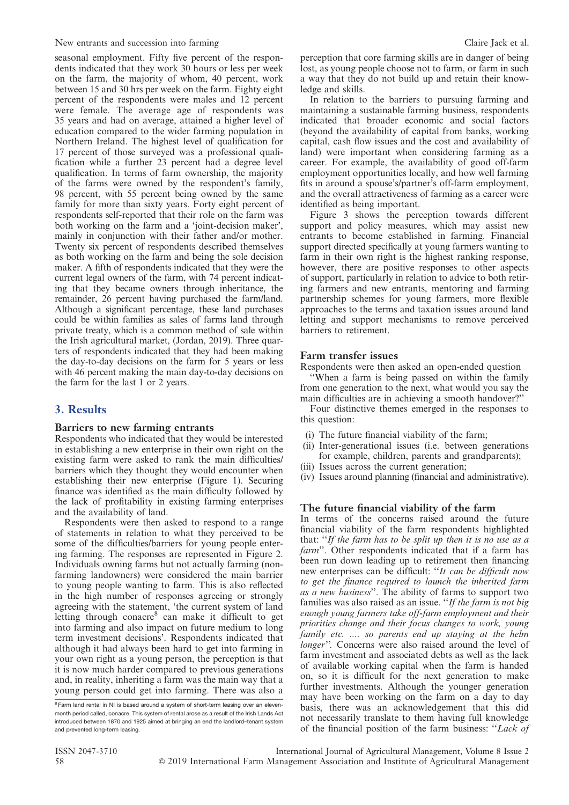seasonal employment. Fifty five percent of the respondents indicated that they work 30 hours or less per week on the farm, the majority of whom, 40 percent, work between 15 and 30 hrs per week on the farm. Eighty eight percent of the respondents were males and 12 percent were female. The average age of respondents was 35 years and had on average, attained a higher level of education compared to the wider farming population in Northern Ireland. The highest level of qualification for 17 percent of those surveyed was a professional qualification while a further 23 percent had a degree level qualification. In terms of farm ownership, the majority of the farms were owned by the respondent's family, 98 percent, with 55 percent being owned by the same family for more than sixty years. Forty eight percent of respondents self-reported that their role on the farm was both working on the farm and a 'joint-decision maker', mainly in conjunction with their father and/or mother. Twenty six percent of respondents described themselves as both working on the farm and being the sole decision maker. A fifth of respondents indicated that they were the current legal owners of the farm, with 74 percent indicating that they became owners through inheritance, the remainder, 26 percent having purchased the farm/land. Although a significant percentage, these land purchases could be within families as sales of farms land through private treaty, which is a common method of sale within the Irish agricultural market, (Jordan, 2019). Three quarters of respondents indicated that they had been making the day-to-day decisions on the farm for 5 years or less with 46 percent making the main day-to-day decisions on the farm for the last 1 or 2 years.

# 3. Results

### Barriers to new farming entrants

Respondents who indicated that they would be interested in establishing a new enterprise in their own right on the existing farm were asked to rank the main difficulties/ barriers which they thought they would encounter when establishing their new enterprise (Figure 1). Securing finance was identified as the main difficulty followed by the lack of profitability in existing farming enterprises and the availability of land.

Respondents were then asked to respond to a range of statements in relation to what they perceived to be some of the difficulties/barriers for young people entering farming. The responses are represented in Figure 2. Individuals owning farms but not actually farming (nonfarming landowners) were considered the main barrier to young people wanting to farm. This is also reflected in the high number of responses agreeing or strongly agreeing with the statement, 'the current system of land letting through conacre<sup>8</sup> can make it difficult to get into farming and also impact on future medium to long term investment decisions'. Respondents indicated that although it had always been hard to get into farming in your own right as a young person, the perception is that it is now much harder compared to previous generations and, in reality, inheriting a farm was the main way that a young person could get into farming. There was also a perception that core farming skills are in danger of being lost, as young people choose not to farm, or farm in such a way that they do not build up and retain their knowledge and skills.

In relation to the barriers to pursuing farming and maintaining a sustainable farming business, respondents indicated that broader economic and social factors (beyond the availability of capital from banks, working capital, cash flow issues and the cost and availability of land) were important when considering farming as a career. For example, the availability of good off-farm employment opportunities locally, and how well farming fits in around a spouse's/partner's off-farm employment, and the overall attractiveness of farming as a career were identified as being important.

Figure 3 shows the perception towards different support and policy measures, which may assist new entrants to become established in farming. Financial support directed specifically at young farmers wanting to farm in their own right is the highest ranking response, however, there are positive responses to other aspects of support, particularly in relation to advice to both retiring farmers and new entrants, mentoring and farming partnership schemes for young farmers, more flexible approaches to the terms and taxation issues around land letting and support mechanisms to remove perceived barriers to retirement.

### Farm transfer issues

Respondents were then asked an open-ended question ''When a farm is being passed on within the family

from one generation to the next, what would you say the main difficulties are in achieving a smooth handover?''

Four distinctive themes emerged in the responses to this question:

- (i) The future financial viability of the farm;
- (ii) Inter-generational issues (i.e. between generations for example, children, parents and grandparents);
- (iii) Issues across the current generation;
- (iv) Issues around planning (financial and administrative).

### The future financial viability of the farm

In terms of the concerns raised around the future financial viability of the farm respondents highlighted that: ''If the farm has to be split up then it is no use as a farm''. Other respondents indicated that if a farm has been run down leading up to retirement then financing new enterprises can be difficult: "It can be difficult now to get the finance required to launch the inherited farm as a new business''. The ability of farms to support two families was also raised as an issue. "If the farm is not big enough young farmers take off-farm employment and their priorities change and their focus changes to work, young family etc. .... so parents end up staying at the helm longer''. Concerns were also raised around the level of farm investment and associated debts as well as the lack of available working capital when the farm is handed on, so it is difficult for the next generation to make further investments. Although the younger generation may have been working on the farm on a day to day basis, there was an acknowledgement that this did not necessarily translate to them having full knowledge of the financial position of the farm business: ''Lack of

<sup>&</sup>lt;sup>8</sup> Farm land rental in NI is based around a system of short-term leasing over an elevenmonth period called, conacre. This system of rental arose as a result of the Irish Lands Act introduced between 1870 and 1925 aimed at bringing an end the landlord–tenant system and prevented long-term leasing.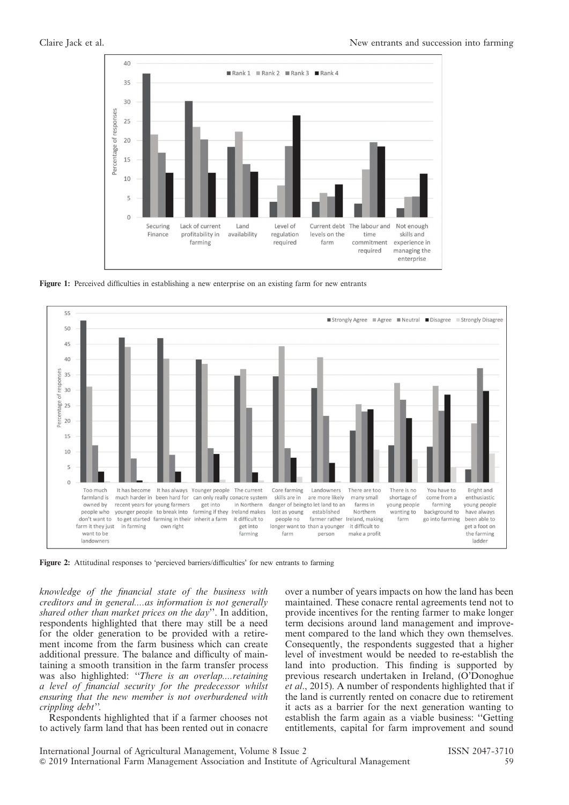

Figure 1: Perceived difficulties in establishing a new enterprise on an existing farm for new entrants



Figure 2: Attitudinal responses to 'percieved barriers/difficulties' for new entrants to farming

knowledge of the financial state of the business with creditors and in general....as information is not generally shared other than market prices on the day''. In addition, respondents highlighted that there may still be a need for the older generation to be provided with a retirement income from the farm business which can create additional pressure. The balance and difficulty of maintaining a smooth transition in the farm transfer process was also highlighted: "There is an overlap....retaining a level of financial security for the predecessor whilst ensuring that the new member is not overburdened with crippling debt''.

Respondents highlighted that if a farmer chooses not to actively farm land that has been rented out in conacre over a number of years impacts on how the land has been maintained. These conacre rental agreements tend not to provide incentives for the renting farmer to make longer term decisions around land management and improvement compared to the land which they own themselves. Consequently, the respondents suggested that a higher level of investment would be needed to re-establish the land into production. This finding is supported by previous research undertaken in Ireland, (O'Donoghue et al., 2015). A number of respondents highlighted that if the land is currently rented on conacre due to retirement it acts as a barrier for the next generation wanting to establish the farm again as a viable business: ''Getting entitlements, capital for farm improvement and sound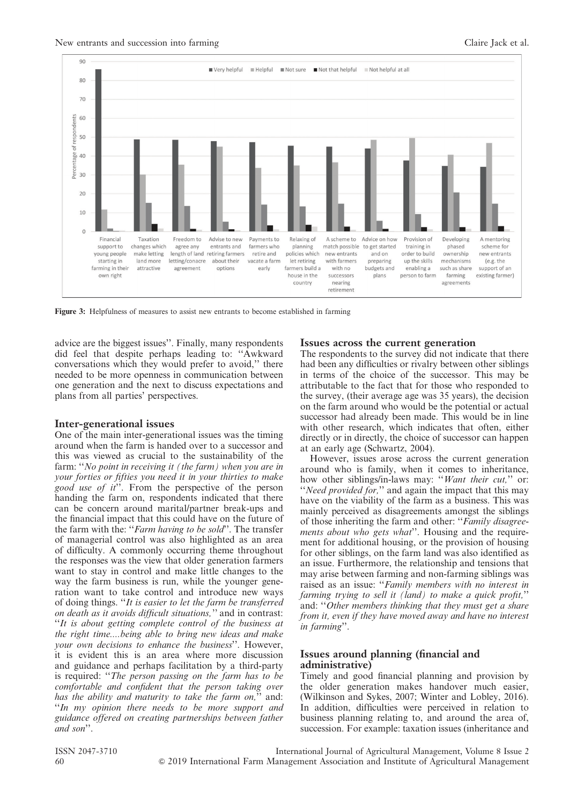

Figure 3: Helpfulness of measures to assist new entrants to become established in farming

advice are the biggest issues''. Finally, many respondents did feel that despite perhaps leading to: ''Awkward conversations which they would prefer to avoid,'' there needed to be more openness in communication between one generation and the next to discuss expectations and plans from all parties' perspectives.

#### Inter-generational issues

One of the main inter-generational issues was the timing around when the farm is handed over to a successor and this was viewed as crucial to the sustainability of the farm: "No point in receiving it (the farm) when you are in your forties or fifties you need it in your thirties to make good use of  $it$ <sup>"</sup>. From the perspective of the person handing the farm on, respondents indicated that there can be concern around marital/partner break-ups and the financial impact that this could have on the future of the farm with the: "Farm having to be sold". The transfer of managerial control was also highlighted as an area of difficulty. A commonly occurring theme throughout the responses was the view that older generation farmers want to stay in control and make little changes to the way the farm business is run, while the younger generation want to take control and introduce new ways of doing things. ''It is easier to let the farm be transferred on death as it avoids difficult situations,'' and in contrast: ''It is about getting complete control of the business at the right time....being able to bring new ideas and make vour own decisions to enhance the business". However, it is evident this is an area where more discussion and guidance and perhaps facilitation by a third-party is required: "The person passing on the farm has to be comfortable and confident that the person taking over has the ability and maturity to take the farm on," and: ''In my opinion there needs to be more support and guidance offered on creating partnerships between father and son''.

#### Issues across the current generation

The respondents to the survey did not indicate that there had been any difficulties or rivalry between other siblings in terms of the choice of the successor. This may be attributable to the fact that for those who responded to the survey, (their average age was 35 years), the decision on the farm around who would be the potential or actual successor had already been made. This would be in line with other research, which indicates that often, either directly or in directly, the choice of successor can happen at an early age (Schwartz, 2004).

However, issues arose across the current generation around who is family, when it comes to inheritance, how other siblings/in-laws may: "Want their cut," or: "Need provided for," and again the impact that this may have on the viability of the farm as a business. This was mainly perceived as disagreements amongst the siblings of those inheriting the farm and other: ''Family disagreements about who gets what''. Housing and the requirement for additional housing, or the provision of housing for other siblings, on the farm land was also identified as an issue. Furthermore, the relationship and tensions that may arise between farming and non-farming siblings was raised as an issue: "Family members with no interest in farming trying to sell it (land) to make a quick profit," and: "Other members thinking that they must get a share from it, even if they have moved away and have no interest in farming''.

### Issues around planning (financial and administrative)

Timely and good financial planning and provision by the older generation makes handover much easier, (Wilkinson and Sykes, 2007; Winter and Lobley, 2016). In addition, difficulties were perceived in relation to business planning relating to, and around the area of, succession. For example: taxation issues (inheritance and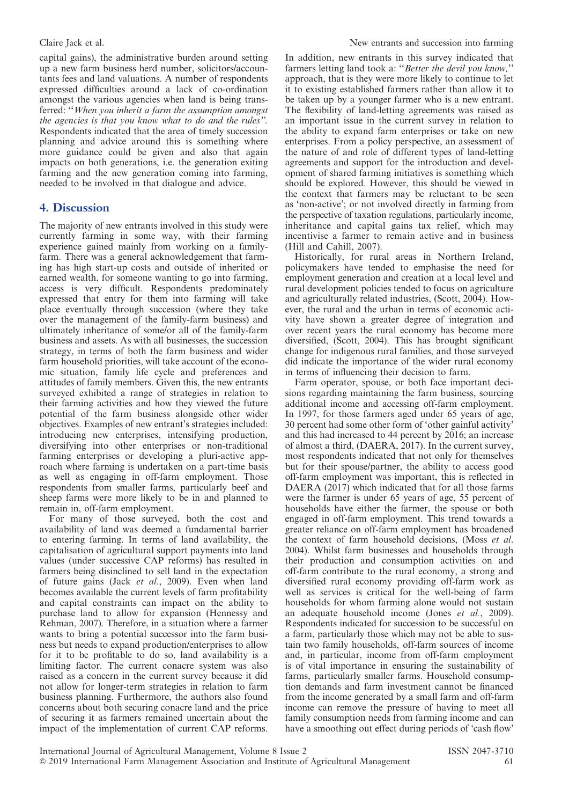capital gains), the administrative burden around setting up a new farm business herd number, solicitors/accountants fees and land valuations. A number of respondents expressed difficulties around a lack of co-ordination amongst the various agencies when land is being transferred: "When you inherit a farm the assumption amongst the agencies is that you know what to do and the rules''. Respondents indicated that the area of timely succession planning and advice around this is something where more guidance could be given and also that again impacts on both generations, i.e. the generation exiting farming and the new generation coming into farming, needed to be involved in that dialogue and advice.

# 4. Discussion

The majority of new entrants involved in this study were currently farming in some way, with their farming experience gained mainly from working on a familyfarm. There was a general acknowledgement that farming has high start-up costs and outside of inherited or earned wealth, for someone wanting to go into farming, access is very difficult. Respondents predominately expressed that entry for them into farming will take place eventually through succession (where they take over the management of the family-farm business) and ultimately inheritance of some/or all of the family-farm business and assets. As with all businesses, the succession strategy, in terms of both the farm business and wider farm household priorities, will take account of the economic situation, family life cycle and preferences and attitudes of family members. Given this, the new entrants surveyed exhibited a range of strategies in relation to their farming activities and how they viewed the future potential of the farm business alongside other wider objectives. Examples of new entrant's strategies included: introducing new enterprises, intensifying production, diversifying into other enterprises or non-traditional farming enterprises or developing a pluri-active approach where farming is undertaken on a part-time basis as well as engaging in off-farm employment. Those respondents from smaller farms, particularly beef and sheep farms were more likely to be in and planned to remain in, off-farm employment.

For many of those surveyed, both the cost and availability of land was deemed a fundamental barrier to entering farming. In terms of land availability, the capitalisation of agricultural support payments into land values (under successive CAP reforms) has resulted in farmers being disinclined to sell land in the expectation of future gains (Jack et al., 2009). Even when land becomes available the current levels of farm profitability and capital constraints can impact on the ability to purchase land to allow for expansion (Hennessy and Rehman, 2007). Therefore, in a situation where a farmer wants to bring a potential successor into the farm business but needs to expand production/enterprises to allow for it to be profitable to do so, land availability is a limiting factor. The current conacre system was also raised as a concern in the current survey because it did not allow for longer-term strategies in relation to farm business planning. Furthermore, the authors also found concerns about both securing conacre land and the price of securing it as farmers remained uncertain about the impact of the implementation of current CAP reforms.

In addition, new entrants in this survey indicated that farmers letting land took a: ''Better the devil you know,'' approach, that is they were more likely to continue to let it to existing established farmers rather than allow it to be taken up by a younger farmer who is a new entrant. The flexibility of land-letting agreements was raised as an important issue in the current survey in relation to the ability to expand farm enterprises or take on new enterprises. From a policy perspective, an assessment of the nature of and role of different types of land-letting agreements and support for the introduction and development of shared farming initiatives is something which should be explored. However, this should be viewed in the context that farmers may be reluctant to be seen as 'non-active'; or not involved directly in farming from the perspective of taxation regulations, particularly income, inheritance and capital gains tax relief, which may incentivise a farmer to remain active and in business (Hill and Cahill, 2007).

Historically, for rural areas in Northern Ireland, policymakers have tended to emphasise the need for employment generation and creation at a local level and rural development policies tended to focus on agriculture and agriculturally related industries, (Scott, 2004). However, the rural and the urban in terms of economic activity have shown a greater degree of integration and over recent years the rural economy has become more diversified, (Scott, 2004). This has brought significant change for indigenous rural families, and those surveyed did indicate the importance of the wider rural economy in terms of influencing their decision to farm.

Farm operator, spouse, or both face important decisions regarding maintaining the farm business, sourcing additional income and accessing off-farm employment. In 1997, for those farmers aged under 65 years of age, 30 percent had some other form of 'other gainful activity' and this had increased to 44 percent by 2016; an increase of almost a third, (DAERA, 2017). In the current survey, most respondents indicated that not only for themselves but for their spouse/partner, the ability to access good off-farm employment was important, this is reflected in DAERA (2017) which indicated that for all those farms were the farmer is under 65 years of age, 55 percent of households have either the farmer, the spouse or both engaged in off-farm employment. This trend towards a greater reliance on off-farm employment has broadened the context of farm household decisions, (Moss et al. 2004). Whilst farm businesses and households through their production and consumption activities on and off-farm contribute to the rural economy, a strong and diversified rural economy providing off-farm work as well as services is critical for the well-being of farm households for whom farming alone would not sustain an adequate household income (Jones et al., 2009). Respondents indicated for succession to be successful on a farm, particularly those which may not be able to sustain two family households, off-farm sources of income and, in particular, income from off-farm employment is of vital importance in ensuring the sustainability of farms, particularly smaller farms. Household consumption demands and farm investment cannot be financed from the income generated by a small farm and off-farm income can remove the pressure of having to meet all family consumption needs from farming income and can have a smoothing out effect during periods of 'cash flow'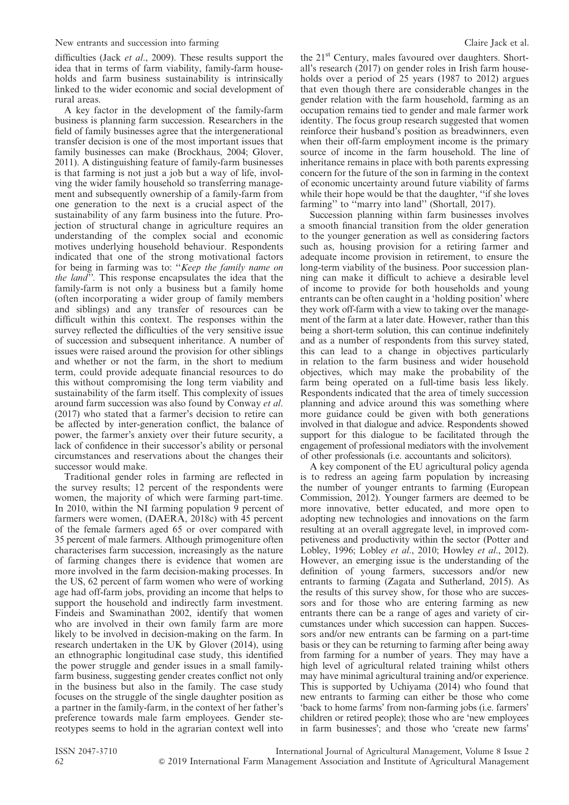difficulties (Jack et al., 2009). These results support the idea that in terms of farm viability, family-farm households and farm business sustainability is intrinsically linked to the wider economic and social development of rural areas.

A key factor in the development of the family-farm business is planning farm succession. Researchers in the field of family businesses agree that the intergenerational transfer decision is one of the most important issues that family businesses can make (Brockhaus, 2004; Glover, 2011). A distinguishing feature of family-farm businesses is that farming is not just a job but a way of life, involving the wider family household so transferring management and subsequently ownership of a family-farm from one generation to the next is a crucial aspect of the sustainability of any farm business into the future. Projection of structural change in agriculture requires an understanding of the complex social and economic motives underlying household behaviour. Respondents indicated that one of the strong motivational factors for being in farming was to: ''Keep the family name on the land". This response encapsulates the idea that the family-farm is not only a business but a family home (often incorporating a wider group of family members and siblings) and any transfer of resources can be difficult within this context. The responses within the survey reflected the difficulties of the very sensitive issue of succession and subsequent inheritance. A number of issues were raised around the provision for other siblings and whether or not the farm, in the short to medium term, could provide adequate financial resources to do this without compromising the long term viability and sustainability of the farm itself. This complexity of issues around farm succession was also found by Conway et al. (2017) who stated that a farmer's decision to retire can be affected by inter-generation conflict, the balance of power, the farmer's anxiety over their future security, a lack of confidence in their successor's ability or personal circumstances and reservations about the changes their successor would make.

Traditional gender roles in farming are reflected in the survey results; 12 percent of the respondents were women, the majority of which were farming part-time. In 2010, within the NI farming population 9 percent of farmers were women, (DAERA, 2018c) with 45 percent of the female farmers aged 65 or over compared with 35 percent of male farmers. Although primogeniture often characterises farm succession, increasingly as the nature of farming changes there is evidence that women are more involved in the farm decision-making processes. In the US, 62 percent of farm women who were of working age had off-farm jobs, providing an income that helps to support the household and indirectly farm investment. Findeis and Swaminathan 2002, identify that women who are involved in their own family farm are more likely to be involved in decision-making on the farm. In research undertaken in the UK by Glover (2014), using an ethnographic longitudinal case study, this identified the power struggle and gender issues in a small familyfarm business, suggesting gender creates conflict not only in the business but also in the family. The case study focuses on the struggle of the single daughter position as a partner in the family-farm, in the context of her father's preference towards male farm employees. Gender stereotypes seems to hold in the agrarian context well into the 21<sup>st</sup> Century, males favoured over daughters. Shortall's research (2017) on gender roles in Irish farm households over a period of 25 years (1987 to 2012) argues that even though there are considerable changes in the gender relation with the farm household, farming as an occupation remains tied to gender and male farmer work identity. The focus group research suggested that women reinforce their husband's position as breadwinners, even when their off-farm employment income is the primary source of income in the farm household. The line of inheritance remains in place with both parents expressing concern for the future of the son in farming in the context of economic uncertainty around future viability of farms while their hope would be that the daughter, ''if she loves farming" to "marry into land" (Shortall, 2017).

Succession planning within farm businesses involves a smooth financial transition from the older generation to the younger generation as well as considering factors such as, housing provision for a retiring farmer and adequate income provision in retirement, to ensure the long-term viability of the business. Poor succession planning can make it difficult to achieve a desirable level of income to provide for both households and young entrants can be often caught in a 'holding position' where they work off-farm with a view to taking over the management of the farm at a later date. However, rather than this being a short-term solution, this can continue indefinitely and as a number of respondents from this survey stated, this can lead to a change in objectives particularly in relation to the farm business and wider household objectives, which may make the probability of the farm being operated on a full-time basis less likely. Respondents indicated that the area of timely succession planning and advice around this was something where more guidance could be given with both generations involved in that dialogue and advice. Respondents showed support for this dialogue to be facilitated through the engagement of professional mediators with the involvement of other professionals (i.e. accountants and solicitors).

A key component of the EU agricultural policy agenda is to redress an ageing farm population by increasing the number of younger entrants to farming (European Commission, 2012). Younger farmers are deemed to be more innovative, better educated, and more open to adopting new technologies and innovations on the farm resulting at an overall aggregate level, in improved competiveness and productivity within the sector (Potter and Lobley, 1996; Lobley et al., 2010; Howley et al., 2012). However, an emerging issue is the understanding of the definition of young farmers, successors and/or new entrants to farming (Zagata and Sutherland, 2015). As the results of this survey show, for those who are successors and for those who are entering farming as new entrants there can be a range of ages and variety of circumstances under which succession can happen. Successors and/or new entrants can be farming on a part-time basis or they can be returning to farming after being away from farming for a number of years. They may have a high level of agricultural related training whilst others may have minimal agricultural training and/or experience. This is supported by Uchiyama (2014) who found that new entrants to farming can either be those who come 'back to home farms' from non-farming jobs (i.e. farmers' children or retired people); those who are 'new employees in farm businesses'; and those who 'create new farms'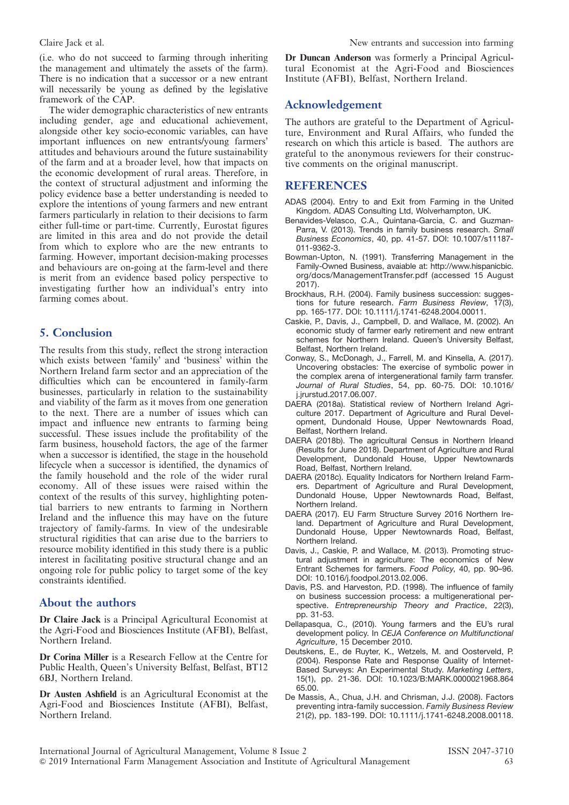(i.e. who do not succeed to farming through inheriting the management and ultimately the assets of the farm). There is no indication that a successor or a new entrant will necessarily be young as defined by the legislative framework of the CAP.

The wider demographic characteristics of new entrants including gender, age and educational achievement, alongside other key socio-economic variables, can have important influences on new entrants/young farmers' attitudes and behaviours around the future sustainability of the farm and at a broader level, how that impacts on the economic development of rural areas. Therefore, in the context of structural adjustment and informing the policy evidence base a better understanding is needed to explore the intentions of young farmers and new entrant farmers particularly in relation to their decisions to farm either full-time or part-time. Currently, Eurostat figures are limited in this area and do not provide the detail from which to explore who are the new entrants to farming. However, important decision-making processes and behaviours are on-going at the farm-level and there is merit from an evidence based policy perspective to investigating further how an individual's entry into farming comes about.

# 5. Conclusion

The results from this study, reflect the strong interaction which exists between 'family' and 'business' within the Northern Ireland farm sector and an appreciation of the difficulties which can be encountered in family-farm businesses, particularly in relation to the sustainability and viability of the farm as it moves from one generation to the next. There are a number of issues which can impact and influence new entrants to farming being successful. These issues include the profitability of the farm business, household factors, the age of the farmer when a successor is identified, the stage in the household lifecycle when a successor is identified, the dynamics of the family household and the role of the wider rural economy. All of these issues were raised within the context of the results of this survey, highlighting potential barriers to new entrants to farming in Northern Ireland and the influence this may have on the future trajectory of family-farms. In view of the undesirable structural rigidities that can arise due to the barriers to resource mobility identified in this study there is a public interest in facilitating positive structural change and an ongoing role for public policy to target some of the key constraints identified.

# About the authors

Dr Claire Jack is a Principal Agricultural Economist at the Agri-Food and Biosciences Institute (AFBI), Belfast, Northern Ireland.

Dr Corina Miller is a Research Fellow at the Centre for Public Health, Queen's University Belfast, Belfast, BT12 6BJ, Northern Ireland.

Dr Austen Ashfield is an Agricultural Economist at the Agri-Food and Biosciences Institute (AFBI), Belfast, Northern Ireland.

Dr Duncan Anderson was formerly a Principal Agricultural Economist at the Agri-Food and Biosciences Institute (AFBI), Belfast, Northern Ireland.

# Acknowledgement

The authors are grateful to the Department of Agriculture, Environment and Rural Affairs, who funded the research on which this article is based. The authors are grateful to the anonymous reviewers for their constructive comments on the original manuscript.

# **REFERENCES**

- ADAS (2004). Entry to and Exit from Farming in the United Kingdom. ADAS Consulting Ltd, Wolverhampton, UK.
- Benavides-Velasco, C.A., Quintana-Garcia, C. and Guzman-Parra, V. (2013). Trends in family business research. Small Business Economics, 40, pp. 41-57. DOI: 10.1007/s11187- 011-9362-3.
- Bowman-Upton, N. (1991). Transferring Management in the Family-Owned Business, avaiable at: http://www.hispanicbic. org/docs/ManagementTransfer.pdf (accessed 15 August 2017).
- Brockhaus, R.H. (2004). Family business succession: suggestions for future research. Farm Business Review, 17(3), pp. 165-177. DOI: 10.1111/j.1741-6248.2004.00011.
- Caskie, P., Davis, J., Campbell, D. and Wallace, M. (2002). An economic study of farmer early retirement and new entrant schemes for Northern Ireland. Queen's University Belfast, Belfast, Northern Ireland.
- Conway, S., McDonagh, J., Farrell, M. and Kinsella, A. (2017). Uncovering obstacles: The exercise of symbolic power in the complex arena of intergenerational family farm transfer. Journal of Rural Studies, 54, pp. 60-75. DOI: 10.1016/ j.jrurstud.2017.06.007.
- DAERA (2018a). Statistical review of Northern Ireland Agriculture 2017. Department of Agriculture and Rural Development, Dundonald House, Upper Newtownards Road, Belfast, Northern Ireland.
- DAERA (2018b). The agricultural Census in Northern Irleand (Results for June 2018). Department of Agriculture and Rural Development, Dundonald House, Upper Newtownards Road, Belfast, Northern Ireland.
- DAERA (2018c). Equality Indicators for Northern Ireland Farmers. Department of Agriculture and Rural Development, Dundonald House, Upper Newtownards Road, Belfast, Northern Ireland.
- DAERA (2017). EU Farm Structure Survey 2016 Northern Ireland. Department of Agriculture and Rural Development, Dundonald House, Upper Newtownards Road, Belfast, Northern Ireland.
- Davis, J., Caskie, P. and Wallace, M. (2013). Promoting structural adjustment in agriculture: The economics of New Entrant Schemes for farmers. Food Policy, 40, pp. 90–96. DOI: 10.1016/j.foodpol.2013.02.006.
- Davis, P.S. and Harveston, P.D. (1998). The influence of family on business succession process: a multigenerational perspective. Entrepreneurship Theory and Practice, 22(3), pp. 31-53.
- Dellapasqua, C., (2010). Young farmers and the EU's rural development policy. In CEJA Conference on Multifunctional Agriculture, 15 December 2010.
- Deutskens, E., de Ruyter, K., Wetzels, M. and Oosterveld, P. (2004). Response Rate and Response Quality of Internet-Based Surveys: An Experimental Study. Marketing Letters, 15(1), pp. 21-36. DOI: 10.1023/B:MARK.0000021968.864 65.00.
- De Massis, A., Chua, J.H. and Chrisman, J.J. (2008). Factors preventing intra-family succession. Family Business Review 21(2), pp. 183-199. DOI: 10.1111/j.1741-6248.2008.00118.